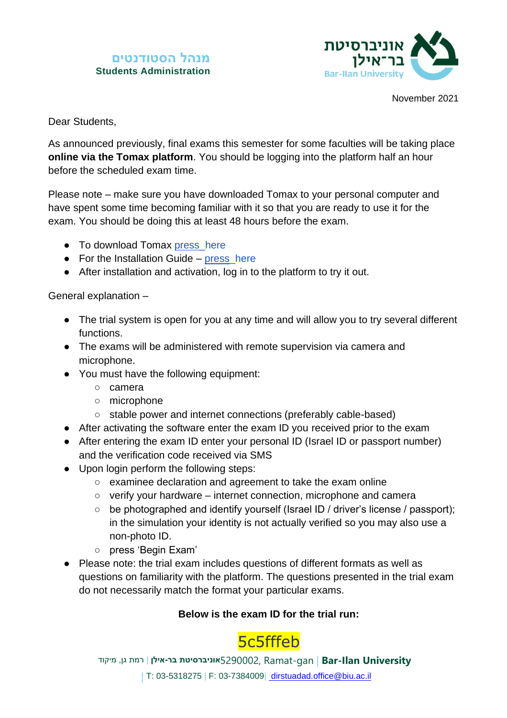## **מנהל הסטודנטים Students Administration**



November 2021

Dear Students,

As announced previously, final exams this semester for some faculties will be taking place **online via the Tomax platform**. You should be logging into the platform half an hour before the scheduled exam time.

Please note – make sure you have downloaded Tomax to your personal computer and have spent some time becoming familiar with it so that you are ready to use it for the exam. You should be doing this at least 48 hours before the exam.

- To download Tomax [press\\_here](https://setup.tomaetest.com/TomaETest/setup.html)
- $\bullet$  For the Installation Guide press here
- After installation and activation, log in to the platform to try it out.

General explanation –

- The trial system is open for you at any time and will allow you to try several different functions.
- The exams will be administered with remote supervision via camera and microphone.
- You must have the following equipment:
	- camera
	- microphone
	- stable power and internet connections (preferably cable-based)
- After activating the software enter the exam ID you received prior to the exam
- After entering the exam ID enter your personal ID (Israel ID or passport number) and the verification code received via SMS
- Upon login perform the following steps:
	- examinee declaration and agreement to take the exam online
	- verify your hardware internet connection, microphone and camera
	- be photographed and identify yourself (Israel ID / driver's license / passport); in the simulation your identity is not actually verified so you may also use a non-photo ID.
	- press 'Begin Exam'
- Please note: the trial exam includes questions of different formats as well as questions on familiarity with the platform. The questions presented in the trial exam do not necessarily match the format your particular exams.

## **Below is the exam ID for the trial run:**

## 5c5fffeb

**University Ilan-Bar** | gan-Ramat 5290002,**אוניברסיטת בר- אילן** | רמת גן, מיקוד | T: 03-5318275 | F: 03-7384009| [dirstuadad.office@biu.ac.il](mailto:%20dirstuadad.office@biu.ac.il)